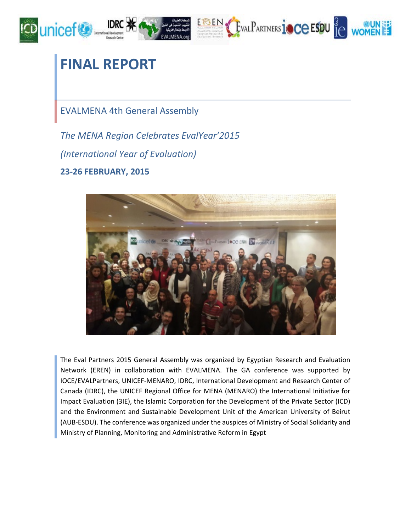

# **FINAL REPORT**

EVALMENA 4th General Assembly

*The MENA Region Celebrates EvalYear'2015 (International Year of Evaluation)* **23-26 FEBRUARY, 2015**



The Eval Partners 2015 General Assembly was organized by Egyptian Research and Evaluation Network (EREN) in collaboration with EVALMENA. The GA conference was supported by IOCE/EVALPartners, UNICEF-MENARO, IDRC, International Development and Research Center of Canada (IDRC), the UNICEF Regional Office for MENA (MENARO) the International Initiative for Impact Evaluation (3IE), the Islamic Corporation for the Development of the Private Sector (ICD) and the Environment and Sustainable Development Unit of the American University of Beirut (AUB-ESDU). The conference was organized under the auspices of Ministry of Social Solidarity and Ministry of Planning, Monitoring and Administrative Reform in Egypt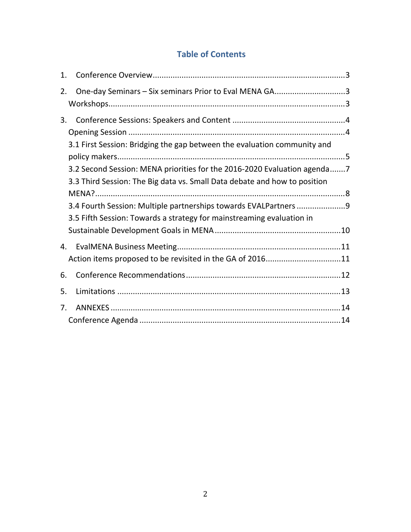## **Table of Contents**

| 1.          |                                                                                                                                                       |
|-------------|-------------------------------------------------------------------------------------------------------------------------------------------------------|
| 2.          | One-day Seminars - Six seminars Prior to Eval MENA GA3                                                                                                |
| 3.          |                                                                                                                                                       |
|             | 3.1 First Session: Bridging the gap between the evaluation community and                                                                              |
|             | 3.2 Second Session: MENA priorities for the 2016-2020 Evaluation agenda7<br>3.3 Third Session: The Big data vs. Small Data debate and how to position |
|             |                                                                                                                                                       |
|             | 3.4 Fourth Session: Multiple partnerships towards EVALPartners 9<br>3.5 Fifth Session: Towards a strategy for mainstreaming evaluation in             |
|             |                                                                                                                                                       |
| 4.          |                                                                                                                                                       |
|             | Action items proposed to be revisited in the GA of 201611                                                                                             |
| 6.          |                                                                                                                                                       |
| 5.          |                                                                                                                                                       |
| $7_{\cdot}$ |                                                                                                                                                       |
|             |                                                                                                                                                       |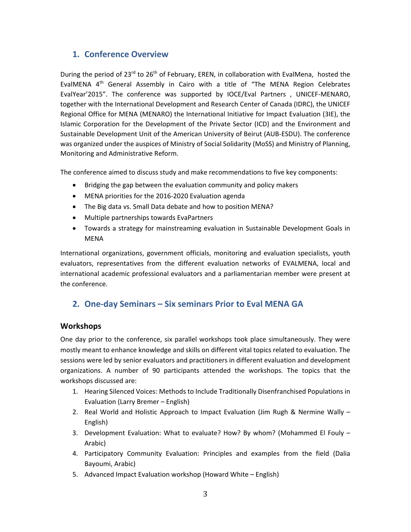## <span id="page-2-0"></span>**1. Conference Overview**

During the period of 23<sup>rd</sup> to 26<sup>th</sup> of February, EREN, in collaboration with EvalMena, hosted the EvalMENA  $4<sup>th</sup>$  General Assembly in Cairo with a title of "The MENA Region Celebrates EvalYear'2015". The conference was supported by IOCE/Eval Partners , UNICEF-MENARO, together with the International Development and Research Center of Canada (IDRC), the UNICEF Regional Office for MENA (MENARO) the International Initiative for Impact Evaluation (3IE), the Islamic Corporation for the Development of the Private Sector (ICD) and the Environment and Sustainable Development Unit of the American University of Beirut (AUB-ESDU). The conference was organized under the auspices of Ministry of Social Solidarity (MoSS) and Ministry of Planning, Monitoring and Administrative Reform.

The conference aimed to discuss study and make recommendations to five key components:

- Bridging the gap between the evaluation community and policy makers
- MENA priorities for the 2016-2020 Evaluation agenda
- The Big data vs. Small Data debate and how to position MENA?
- Multiple partnerships towards EvaPartners
- Towards a strategy for mainstreaming evaluation in Sustainable Development Goals in MENA

International organizations, government officials, monitoring and evaluation specialists, youth evaluators, representatives from the different evaluation networks of EVALMENA, local and international academic professional evaluators and a parliamentarian member were present at the conference.

## <span id="page-2-1"></span>**2. One-day Seminars – Six seminars Prior to Eval MENA GA**

#### <span id="page-2-2"></span>**Workshops**

One day prior to the conference, six parallel workshops took place simultaneously. They were mostly meant to enhance knowledge and skills on different vital topics related to evaluation. The sessions were led by senior evaluators and practitioners in different evaluation and development organizations. A number of 90 participants attended the workshops. The topics that the workshops discussed are:

- 1. Hearing Silenced Voices: Methods to Include Traditionally Disenfranchised Populations in Evaluation (Larry Bremer – English)
- 2. Real World and Holistic Approach to Impact Evaluation (Jim Rugh & Nermine Wally English)
- 3. Development Evaluation: What to evaluate? How? By whom? (Mohammed El Fouly Arabic)
- 4. Participatory Community Evaluation: Principles and examples from the field (Dalia Bayoumi, Arabic)
- 5. Advanced Impact Evaluation workshop (Howard White English)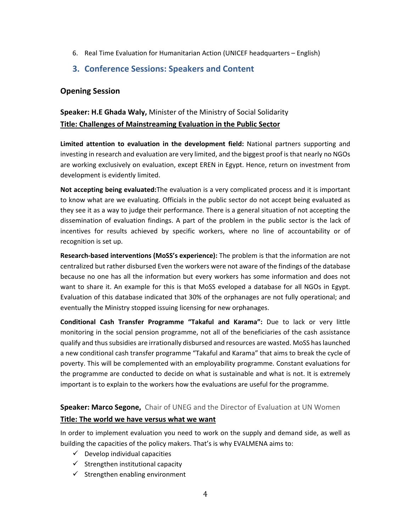- 6. Real Time Evaluation for Humanitarian Action (UNICEF headquarters English)
- <span id="page-3-0"></span>**3. Conference Sessions: Speakers and Content**

## <span id="page-3-1"></span>**Opening Session**

## **Speaker: H.E Ghada Waly,** Minister of the Ministry of Social Solidarity **Title: Challenges of Mainstreaming Evaluation in the Public Sector**

**Limited attention to evaluation in the development field:** National partners supporting and investing in research and evaluation are very limited, and the biggest proof is that nearly no NGOs are working exclusively on evaluation, except EREN in Egypt. Hence, return on investment from development is evidently limited.

**Not accepting being evaluated:**The evaluation is a very complicated process and it is important to know what are we evaluating. Officials in the public sector do not accept being evaluated as they see it as a way to judge their performance. There is a general situation of not accepting the dissemination of evaluation findings. A part of the problem in the public sector is the lack of incentives for results achieved by specific workers, where no line of accountability or of recognition is set up.

**Research-based interventions (MoSS's experience):** The problem is that the information are not centralized but rather disbursed Even the workers were not aware of the findings of the database because no one has all the information but every workers has some information and does not want to share it. An example for this is that MoSS eveloped a database for all NGOs in Egypt. Evaluation of this database indicated that 30% of the orphanages are not fully operational; and eventually the Ministry stopped issuing licensing for new orphanages.

**Conditional Cash Transfer Programme "Takaful and Karama":** Due to lack or very little monitoring in the social pension programme, not all of the beneficiaries of the cash assistance qualify and thus subsidies are irrationally disbursed and resources are wasted. MoSS has launched a new conditional cash transfer programme "Takaful and Karama" that aims to break the cycle of poverty. This will be complemented with an employability programme. Constant evaluations for the programme are conducted to decide on what is sustainable and what is not. It is extremely important is to explain to the workers how the evaluations are useful for the programme.

## **Speaker: Marco Segone,** Chair of UNEG and the Director of Evaluation at UN Women

#### **Title: The world we have versus what we want**

In order to implement evaluation you need to work on the supply and demand side, as well as building the capacities of the policy makers. That's is why EVALMENA aims to:

- $\checkmark$  Develop individual capacities
- $\checkmark$  Strengthen institutional capacity
- $\checkmark$  Strengthen enabling environment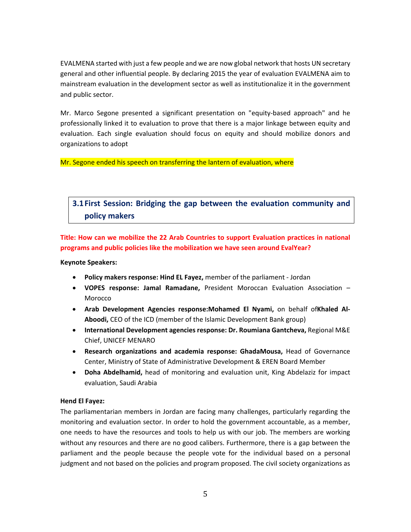EVALMENA started with just a few people and we are now global network that hosts UN secretary general and other influential people. By declaring 2015 the year of evaluation EVALMENA aim to mainstream evaluation in the development sector as well as institutionalize it in the government and public sector.

Mr. Marco Segone presented a significant presentation on "equity-based approach" and he professionally linked it to evaluation to prove that there is a major linkage between equity and evaluation. Each single evaluation should focus on equity and should mobilize donors and organizations to adopt

Mr. Segone ended his speech on transferring the lantern of evaluation, where

## <span id="page-4-0"></span>**3.1First Session: Bridging the gap between the evaluation community and policy makers**

**Title: How can we mobilize the 22 Arab Countries to support Evaluation practices in national programs and public policies like the mobilization we have seen around EvalYear?**

#### **Keynote Speakers:**

- **Policy makers response: Hind EL Fayez,** member of the parliament Jordan
- **VOPES response: Jamal Ramadane,** President Moroccan Evaluation Association Morocco
- **Arab Development Agencies response:Mohamed El Nyami,** on behalf of**Khaled Al-Aboodi,** CEO of the ICD (member of the Islamic Development Bank group)
- **International Development agencies response: Dr. Roumiana Gantcheva,** Regional M&E Chief, UNICEF MENARO
- **Research organizations and academia response: GhadaMousa,** Head of Governance Center, Ministry of State of Administrative Development & EREN Board Member
- **Doha Abdelhamid,** head of monitoring and evaluation unit, King Abdelaziz for impact evaluation, Saudi Arabia

#### **Hend El Fayez:**

The parliamentarian members in Jordan are facing many challenges, particularly regarding the monitoring and evaluation sector. In order to hold the government accountable, as a member, one needs to have the resources and tools to help us with our job. The members are working without any resources and there are no good calibers. Furthermore, there is a gap between the parliament and the people because the people vote for the individual based on a personal judgment and not based on the policies and program proposed. The civil society organizations as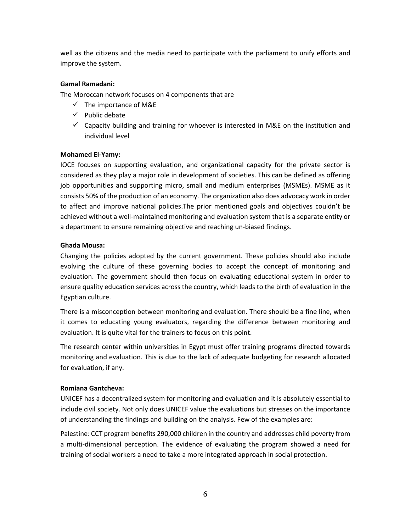well as the citizens and the media need to participate with the parliament to unify efforts and improve the system.

#### **Gamal Ramadani:**

The Moroccan network focuses on 4 components that are

- $\checkmark$  The importance of M&E
- $\checkmark$  Public debate
- $\checkmark$  Capacity building and training for whoever is interested in M&E on the institution and individual level

#### **Mohamed El-Yamy:**

IOCE focuses on supporting evaluation, and organizational capacity for the private sector is considered as they play a major role in development of societies. This can be defined as offering job opportunities and supporting micro, small and medium enterprises (MSMEs). MSME as it consists 50% of the production of an economy. The organization also does advocacy work in order to affect and improve national policies.The prior mentioned goals and objectives couldn't be achieved without a well-maintained monitoring and evaluation system that is a separate entity or a department to ensure remaining objective and reaching un-biased findings.

#### **Ghada Mousa:**

Changing the policies adopted by the current government. These policies should also include evolving the culture of these governing bodies to accept the concept of monitoring and evaluation. The government should then focus on evaluating educational system in order to ensure quality education services across the country, which leads to the birth of evaluation in the Egyptian culture.

There is a misconception between monitoring and evaluation. There should be a fine line, when it comes to educating young evaluators, regarding the difference between monitoring and evaluation. It is quite vital for the trainers to focus on this point.

The research center within universities in Egypt must offer training programs directed towards monitoring and evaluation. This is due to the lack of adequate budgeting for research allocated for evaluation, if any.

#### **Romiana Gantcheva:**

UNICEF has a decentralized system for monitoring and evaluation and it is absolutely essential to include civil society. Not only does UNICEF value the evaluations but stresses on the importance of understanding the findings and building on the analysis. Few of the examples are:

Palestine: CCT program benefits 290,000 children in the country and addresses child poverty from a multi-dimensional perception. The evidence of evaluating the program showed a need for training of social workers a need to take a more integrated approach in social protection.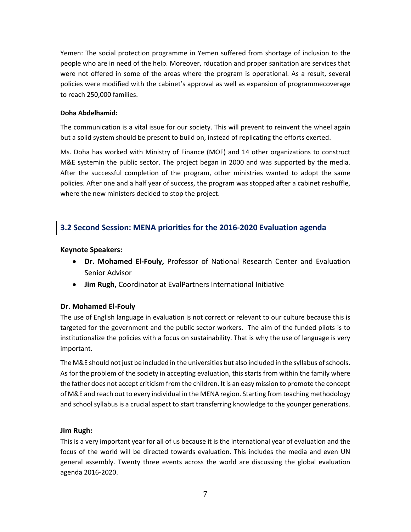Yemen: The social protection programme in Yemen suffered from shortage of inclusion to the people who are in need of the help. Moreover, rducation and proper sanitation are services that were not offered in some of the areas where the program is operational. As a result, several policies were modified with the cabinet's approval as well as expansion of programmecoverage to reach 250,000 families.

#### **Doha Abdelhamid:**

The communication is a vital issue for our society. This will prevent to reinvent the wheel again but a solid system should be present to build on, instead of replicating the efforts exerted.

Ms. Doha has worked with Ministry of Finance (MOF) and 14 other organizations to construct M&E systemin the public sector. The project began in 2000 and was supported by the media. After the successful completion of the program, other ministries wanted to adopt the same policies. After one and a half year of success, the program was stopped after a cabinet reshuffle, where the new ministers decided to stop the project.

## <span id="page-6-0"></span>**3.2 Second Session: MENA priorities for the 2016-2020 Evaluation agenda**

#### **Keynote Speakers:**

- **Dr. Mohamed El-Fouly,** Professor of National Research Center and Evaluation Senior Advisor
- **Jim Rugh,** Coordinator at EvalPartners International Initiative

#### **Dr. Mohamed El-Fouly**

The use of English language in evaluation is not correct or relevant to our culture because this is targeted for the government and the public sector workers. The aim of the funded pilots is to institutionalize the policies with a focus on sustainability. That is why the use of language is very important.

The M&E should not just be included in the universities but also included in the syllabus of schools. As for the problem of the society in accepting evaluation, this starts from within the family where the father does not accept criticism from the children. It is an easy mission to promote the concept of M&E and reach out to every individual in the MENA region. Starting from teaching methodology and school syllabus is a crucial aspect to start transferring knowledge to the younger generations.

#### **Jim Rugh:**

This is a very important year for all of us because it is the international year of evaluation and the focus of the world will be directed towards evaluation. This includes the media and even UN general assembly. Twenty three events across the world are discussing the global evaluation agenda 2016-2020.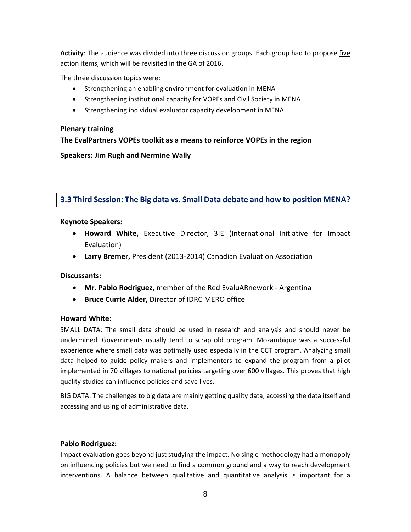**Activity**: The audience was divided into three discussion groups. Each group had to propose five action items, which will be revisited in the GA of 2016.

The three discussion topics were:

- Strengthening an enabling environment for evaluation in MENA
- Strengthening institutional capacity for VOPEs and Civil Society in MENA
- Strengthening individual evaluator capacity development in MENA

#### **Plenary training**

**The EvalPartners VOPEs toolkit as a means to reinforce VOPEs in the region**

**Speakers: Jim Rugh and Nermine Wally**

<span id="page-7-0"></span>**3.3 Third Session: The Big data vs. Small Data debate and how to position MENA?**

#### **Keynote Speakers:**

- **Howard White,** Executive Director, 3IE (International Initiative for Impact Evaluation)
- **Larry Bremer,** President (2013-2014) Canadian Evaluation Association

#### **Discussants:**

- **Mr. Pablo Rodriguez,** member of the Red EvaluARnework Argentina
- **Bruce Currie Alder,** Director of IDRC MERO office

#### **Howard White:**

SMALL DATA: The small data should be used in research and analysis and should never be undermined. Governments usually tend to scrap old program. Mozambique was a successful experience where small data was optimally used especially in the CCT program. Analyzing small data helped to guide policy makers and implementers to expand the program from a pilot implemented in 70 villages to national policies targeting over 600 villages. This proves that high quality studies can influence policies and save lives.

BIG DATA: The challenges to big data are mainly getting quality data, accessing the data itself and accessing and using of administrative data.

#### **Pablo Rodriguez:**

Impact evaluation goes beyond just studying the impact. No single methodology had a monopoly on influencing policies but we need to find a common ground and a way to reach development interventions. A balance between qualitative and quantitative analysis is important for a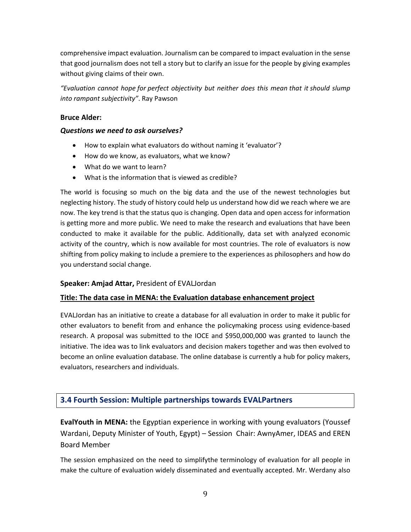comprehensive impact evaluation. Journalism can be compared to impact evaluation in the sense that good journalism does not tell a story but to clarify an issue for the people by giving examples without giving claims of their own.

*"Evaluation cannot hope for perfect objectivity but neither does this mean that it should slump into rampant subjectivity"*. Ray Pawson

#### **Bruce Alder:**

#### *Questions we need to ask ourselves?*

- How to explain what evaluators do without naming it 'evaluator'?
- How do we know, as evaluators, what we know?
- What do we want to learn?
- What is the information that is viewed as credible?

The world is focusing so much on the big data and the use of the newest technologies but neglecting history. The study of history could help us understand how did we reach where we are now. The key trend is that the status quo is changing. Open data and open access for information is getting more and more public. We need to make the research and evaluations that have been conducted to make it available for the public. Additionally, data set with analyzed economic activity of the country, which is now available for most countries. The role of evaluators is now shifting from policy making to include a premiere to the experiences as philosophers and how do you understand social change.

#### **Speaker: Amjad Attar,** President of EVALJordan

#### **Title: The data case in MENA: the Evaluation database enhancement project**

EVALJordan has an initiative to create a database for all evaluation in order to make it public for other evaluators to benefit from and enhance the policymaking process using evidence-based research. A proposal was submitted to the IOCE and \$950,000,000 was granted to launch the initiative. The idea was to link evaluators and decision makers together and was then evolved to become an online evaluation database. The online database is currently a hub for policy makers, evaluators, researchers and individuals.

#### <span id="page-8-0"></span>**3.4 Fourth Session: Multiple partnerships towards EVALPartners**

**EvalYouth in MENA:** the Egyptian experience in working with young evaluators (Youssef Wardani, Deputy Minister of Youth, Egypt) – Session Chair: AwnyAmer, IDEAS and EREN Board Member

The session emphasized on the need to simplifythe terminology of evaluation for all people in make the culture of evaluation widely disseminated and eventually accepted. Mr. Werdany also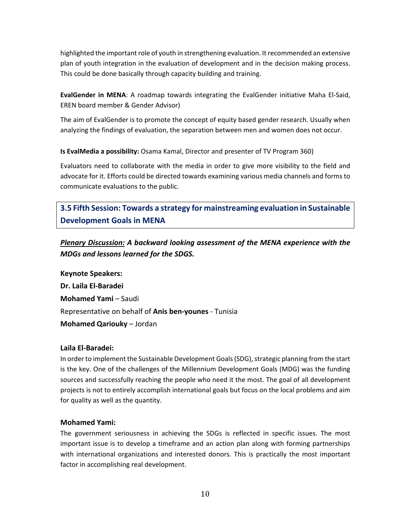highlighted the important role of youth in strengthening evaluation. It recommended an extensive plan of youth integration in the evaluation of development and in the decision making process. This could be done basically through capacity building and training.

**EvalGender in MENA**: A roadmap towards integrating the EvalGender initiative Maha El-Said, EREN board member & Gender Advisor)

The aim of EvalGender is to promote the concept of equity based gender research. Usually when analyzing the findings of evaluation, the separation between men and women does not occur.

**Is EvalMedia a possibility:** Osama Kamal, Director and presenter of TV Program 360)

Evaluators need to collaborate with the media in order to give more visibility to the field and advocate for it. Efforts could be directed towards examining various media channels and forms to communicate evaluations to the public.

<span id="page-9-0"></span>**3.5 Fifth Session: Towards a strategy for mainstreaming evaluation in Sustainable Development Goals in MENA**

*Plenary Discussion: A backward looking assessment of the MENA experience with the MDGs and lessons learned for the SDGS.*

**Keynote Speakers: Dr. Laila El-Baradei Mohamed Yami** – Saudi Representative on behalf of **Anis ben-younes** - Tunisia **Mohamed Qariouky** – Jordan

#### **Laila El-Baradei:**

In order to implement the Sustainable Development Goals (SDG), strategic planning from the start is the key. One of the challenges of the Millennium Development Goals (MDG) was the funding sources and successfully reaching the people who need it the most. The goal of all development projects is not to entirely accomplish international goals but focus on the local problems and aim for quality as well as the quantity.

#### **Mohamed Yami:**

The government seriousness in achieving the SDGs is reflected in specific issues. The most important issue is to develop a timeframe and an action plan along with forming partnerships with international organizations and interested donors. This is practically the most important factor in accomplishing real development.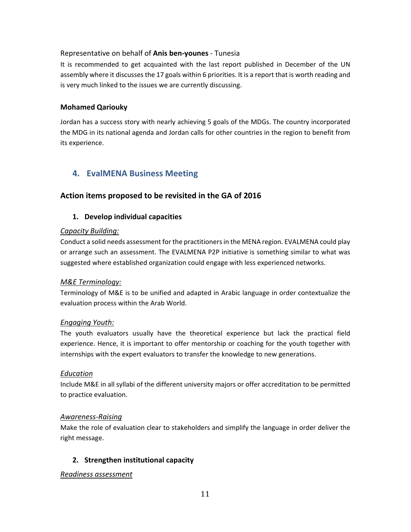#### Representative on behalf of **Anis ben-younes** - Tunesia

It is recommended to get acquainted with the last report published in December of the UN assembly where it discusses the 17 goals within 6 priorities. It is a report that is worth reading and is very much linked to the issues we are currently discussing.

#### **Mohamed Qariouky**

Jordan has a success story with nearly achieving 5 goals of the MDGs. The country incorporated the MDG in its national agenda and Jordan calls for other countries in the region to benefit from its experience.

## <span id="page-10-0"></span>**4. EvalMENA Business Meeting**

#### <span id="page-10-1"></span>**Action items proposed to be revisited in the GA of 2016**

#### **1. Develop individual capacities**

#### *Capacity Building:*

Conduct a solid needs assessment for the practitioners in the MENA region. EVALMENA could play or arrange such an assessment. The EVALMENA P2P initiative is something similar to what was suggested where established organization could engage with less experienced networks.

#### *M&E Terminology:*

Terminology of M&E is to be unified and adapted in Arabic language in order contextualize the evaluation process within the Arab World.

#### *Engaging Youth:*

The youth evaluators usually have the theoretical experience but lack the practical field experience. Hence, it is important to offer mentorship or coaching for the youth together with internships with the expert evaluators to transfer the knowledge to new generations.

#### *Education*

Include M&E in all syllabi of the different university majors or offer accreditation to be permitted to practice evaluation.

#### *Awareness-Raising*

Make the role of evaluation clear to stakeholders and simplify the language in order deliver the right message.

#### **2. Strengthen institutional capacity**

#### *Readiness assessment*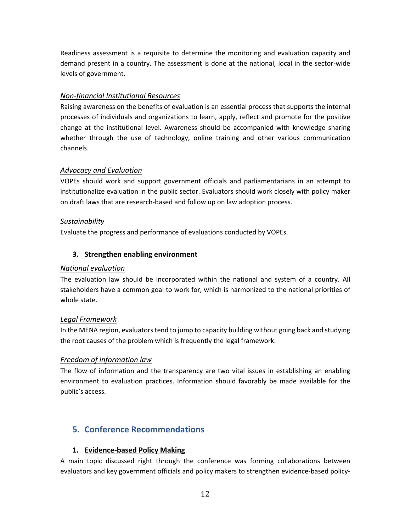Readiness assessment is a requisite to determine the monitoring and evaluation capacity and demand present in a country. The assessment is done at the national, local in the sector-wide levels of government.

#### *Non-financial Institutional Resources*

Raising awareness on the benefits of evaluation is an essential process that supports the internal processes of individuals and organizations to learn, apply, reflect and promote for the positive change at the institutional level. Awareness should be accompanied with knowledge sharing whether through the use of technology, online training and other various communication channels.

#### *Advocacy and Evaluation*

VOPEs should work and support government officials and parliamentarians in an attempt to institutionalize evaluation in the public sector. Evaluators should work closely with policy maker on draft laws that are research-based and follow up on law adoption process.

#### *Sustainability*

Evaluate the progress and performance of evaluations conducted by VOPEs.

#### **3. Strengthen enabling environment**

#### *National evaluation*

The evaluation law should be incorporated within the national and system of a country. All stakeholders have a common goal to work for, which is harmonized to the national priorities of whole state.

#### *Legal Framework*

In the MENA region, evaluators tend to jump to capacity building without going back and studying the root causes of the problem which is frequently the legal framework.

#### *Freedom of information law*

The flow of information and the transparency are two vital issues in establishing an enabling environment to evaluation practices. Information should favorably be made available for the public's access.

## <span id="page-11-0"></span>**5. Conference Recommendations**

#### **1. Evidence-based Policy Making**

A main topic discussed right through the conference was forming collaborations between evaluators and key government officials and policy makers to strengthen evidence-based policy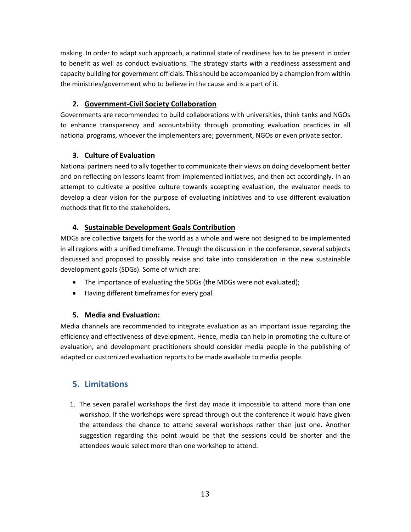making. In order to adapt such approach, a national state of readiness has to be present in order to benefit as well as conduct evaluations. The strategy starts with a readiness assessment and capacity building for government officials. This should be accompanied by a champion from within the ministries/government who to believe in the cause and is a part of it.

## **2. Government-Civil Society Collaboration**

Governments are recommended to build collaborations with universities, think tanks and NGOs to enhance transparency and accountability through promoting evaluation practices in all national programs, whoever the implementers are; government, NGOs or even private sector.

## **3. Culture of Evaluation**

National partners need to ally together to communicate their views on doing development better and on reflecting on lessons learnt from implemented initiatives, and then act accordingly. In an attempt to cultivate a positive culture towards accepting evaluation, the evaluator needs to develop a clear vision for the purpose of evaluating initiatives and to use different evaluation methods that fit to the stakeholders.

## **4. Sustainable Development Goals Contribution**

MDGs are collective targets for the world as a whole and were not designed to be implemented in all regions with a unified timeframe. Through the discussion in the conference, several subjects discussed and proposed to possibly revise and take into consideration in the new sustainable development goals (SDGs). Some of which are:

- The importance of evaluating the SDGs (the MDGs were not evaluated);
- Having different timeframes for every goal.

## **5. Media and Evaluation:**

Media channels are recommended to integrate evaluation as an important issue regarding the efficiency and effectiveness of development. Hence, media can help in promoting the culture of evaluation, and development practitioners should consider media people in the publishing of adapted or customized evaluation reports to be made available to media people.

## <span id="page-12-0"></span>**5. Limitations**

1. The seven parallel workshops the first day made it impossible to attend more than one workshop. If the workshops were spread through out the conference it would have given the attendees the chance to attend several workshops rather than just one. Another suggestion regarding this point would be that the sessions could be shorter and the attendees would select more than one workshop to attend.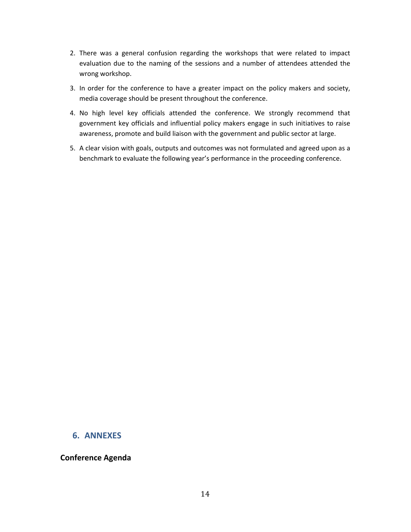- 2. There was a general confusion regarding the workshops that were related to impact evaluation due to the naming of the sessions and a number of attendees attended the wrong workshop.
- 3. In order for the conference to have a greater impact on the policy makers and society, media coverage should be present throughout the conference.
- 4. No high level key officials attended the conference. We strongly recommend that government key officials and influential policy makers engage in such initiatives to raise awareness, promote and build liaison with the government and public sector at large.
- 5. A clear vision with goals, outputs and outcomes was not formulated and agreed upon as a benchmark to evaluate the following year's performance in the proceeding conference.

#### <span id="page-13-0"></span>**6. ANNEXES**

#### <span id="page-13-1"></span>**Conference Agenda**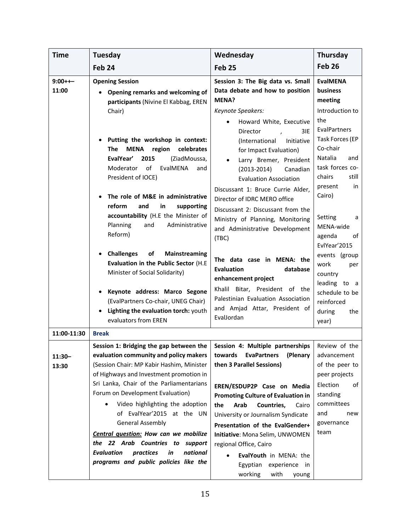| <b>Time</b>        | Tuesday                                                                                                                                                                                                                                                        | Wednesday                                                                                                                                                                                                                                                                       | Thursday                                                                                                                              |
|--------------------|----------------------------------------------------------------------------------------------------------------------------------------------------------------------------------------------------------------------------------------------------------------|---------------------------------------------------------------------------------------------------------------------------------------------------------------------------------------------------------------------------------------------------------------------------------|---------------------------------------------------------------------------------------------------------------------------------------|
|                    | Feb <sub>24</sub>                                                                                                                                                                                                                                              | <b>Feb 25</b>                                                                                                                                                                                                                                                                   | Feb <sub>26</sub>                                                                                                                     |
| $9:00++-$<br>11:00 | <b>Opening Session</b><br><b>Opening remarks and welcoming of</b>                                                                                                                                                                                              | Session 3: The Big data vs. Small<br>Data debate and how to position                                                                                                                                                                                                            | <b>EvalMENA</b><br>business                                                                                                           |
|                    | participants (Nivine El Kabbag, EREN<br>Chair)                                                                                                                                                                                                                 | MENA?<br>Keynote Speakers:<br>Howard White, Executive                                                                                                                                                                                                                           | meeting<br>Introduction to<br>the                                                                                                     |
|                    | Putting the workshop in context:<br><b>MENA</b><br>region<br>celebrates<br>The<br>EvalYear'<br>2015<br>(ZiadMoussa,<br>of<br>EvalMENA<br>Moderator<br>and<br>President of IOCE)<br>The role of M&E in administrative<br>reform<br>and<br>in<br>supporting      | Director<br>3IE.<br>(International<br>Initiative<br>for Impact Evaluation)<br>Larry Bremer, President<br>$(2013 - 2014)$<br>Canadian<br><b>Evaluation Association</b><br>Discussant 1: Bruce Currie Alder,<br>Director of IDRC MERO office<br>Discussant 2: Discussant from the | <b>EvalPartners</b><br>Task Forces (EP<br>Co-chair<br>Natalia<br>and<br>task forces co-<br>chairs<br>still<br>in<br>present<br>Cairo) |
|                    | accountability (H.E the Minister of<br>Administrative<br>Planning<br>and<br>Reform)                                                                                                                                                                            | Ministry of Planning, Monitoring<br>and Administrative Development<br>(TBC)                                                                                                                                                                                                     | Setting<br>a<br>MENA-wide<br>agenda<br>of<br>EvlYear'2015                                                                             |
|                    | <b>Challenges</b><br>Mainstreaming<br>of<br>Evaluation in the Public Sector (H.E.<br>Minister of Social Solidarity)                                                                                                                                            | The data case in MENA: the<br><b>Evaluation</b><br>database<br>enhancement project                                                                                                                                                                                              | events (group<br>work<br>per<br>country<br>leading to a                                                                               |
|                    | Keynote address: Marco Segone<br>(EvalPartners Co-chair, UNEG Chair)<br>• Lighting the evaluation torch: youth<br>evaluators from EREN                                                                                                                         | Bitar, President of the<br>Khalil<br>Palestinian Evaluation Association<br>and Amjad Attar, President of<br>EvalJordan                                                                                                                                                          | schedule to be<br>reinforced<br>during<br>the<br>year)                                                                                |
| 11:00-11:30        | <b>Break</b>                                                                                                                                                                                                                                                   |                                                                                                                                                                                                                                                                                 |                                                                                                                                       |
| $11:30-$<br>13:30  | Session 1: Bridging the gap between the $\vert$ Session 4: Multiple partnerships<br>evaluation community and policy makers<br>(Session Chair: MP Kabir Hashim, Minister<br>of Highways and Investment promotion in<br>Sri Lanka, Chair of the Parliamentarians | <b>EvaPartners</b><br>(Plenary<br>towards<br>then 3 Parallel Sessions)<br>EREN/ESDUP2P Case on Media                                                                                                                                                                            | Review of the<br>advancement<br>of the peer to<br>peer projects<br>Election<br>οf                                                     |
|                    | Forum on Development Evaluation)<br>Video highlighting the adoption<br>of EvalYear'2015 at the UN<br><b>General Assembly</b>                                                                                                                                   | <b>Promoting Culture of Evaluation in</b><br>Arab<br>Countries,<br>the<br>Cairo<br>University or Journalism Syndicate<br>Presentation of the EvalGender+                                                                                                                        | standing<br>committees<br>and<br>new<br>governance<br>team                                                                            |
|                    | Central question: How can we mobilize<br>the 22 Arab Countries to support<br>practices<br>national<br><b>Evaluation</b><br>in<br>programs and public policies like the                                                                                         | Initiative: Mona Selim, UNWOMEN<br>regional Office, Cairo<br>EvalYouth in MENA: the<br>Egyptian<br>experience in<br>working<br>with<br>young                                                                                                                                    |                                                                                                                                       |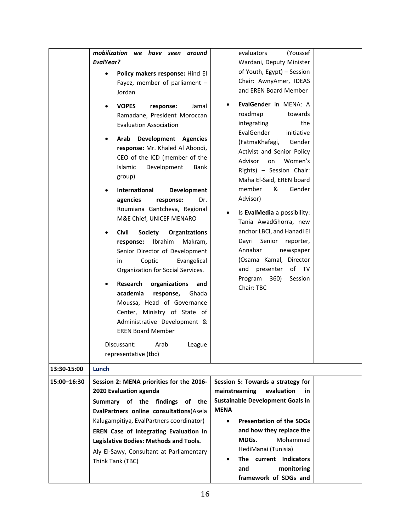| 13:30-15:00 | mobilization we have seen<br>around<br><b>EvalYear?</b><br>Policy makers response: Hind El<br>Fayez, member of parliament -<br>Jordan<br><b>VOPES</b><br>Jamal<br>response:<br>Ramadane, President Moroccan<br><b>Evaluation Association</b><br><b>Development Agencies</b><br>Arab<br>response: Mr. Khaled Al Aboodi,<br>CEO of the ICD (member of the<br>Development<br>Islamic<br>Bank<br>group)<br><b>International</b><br><b>Development</b><br>agencies<br>Dr.<br>response:<br>Roumiana Gantcheva, Regional<br>M&E Chief, UNICEF MENARO<br><b>Civil</b><br><b>Society</b><br><b>Organizations</b><br>Ibrahim<br>Makram,<br>response:<br>Senior Director of Development<br>Coptic<br>Evangelical<br>in<br>Organization for Social Services.<br>Research<br>organizations<br>and<br>academia<br>response,<br>Ghada<br>Moussa, Head of Governance<br>Center, Ministry of State of<br>Administrative Development &<br><b>EREN Board Member</b><br>Discussant:<br>Arab<br>League<br>representative (tbc)<br>Lunch | evaluators<br>(Youssef<br>Wardani, Deputy Minister<br>of Youth, Egypt) - Session<br>Chair: AwnyAmer, IDEAS<br>and EREN Board Member<br>EvalGender in MENA: A<br>roadmap<br>towards<br>integrating<br>the<br>EvalGender<br>initiative<br>(FatmaKhafagi,<br>Gender<br>Activist and Senior Policy<br>Advisor<br>Women's<br>on<br>Rights) - Session Chair:<br>Maha El-Said, EREN board<br>member<br>&<br>Gender<br>Advisor)<br>Is EvalMedia a possibility:<br>Tania AwadGhorra, new<br>anchor LBCI, and Hanadi El<br>Senior<br>Dayri<br>reporter,<br>Annahar<br>newspaper<br>(Osama Kamal, Director<br>of TV<br>presenter<br>and<br>Program 360)<br>Session<br>Chair: TBC |  |
|-------------|--------------------------------------------------------------------------------------------------------------------------------------------------------------------------------------------------------------------------------------------------------------------------------------------------------------------------------------------------------------------------------------------------------------------------------------------------------------------------------------------------------------------------------------------------------------------------------------------------------------------------------------------------------------------------------------------------------------------------------------------------------------------------------------------------------------------------------------------------------------------------------------------------------------------------------------------------------------------------------------------------------------------|-----------------------------------------------------------------------------------------------------------------------------------------------------------------------------------------------------------------------------------------------------------------------------------------------------------------------------------------------------------------------------------------------------------------------------------------------------------------------------------------------------------------------------------------------------------------------------------------------------------------------------------------------------------------------|--|
| 15:00-16:30 | Session 2: MENA priorities for the 2016-<br>2020 Evaluation agenda<br>Summary of the findings<br>of the<br>EvalPartners online consultations(Asela<br>Kalugampitiya, EvalPartners coordinator)<br>EREN Case of Integrating Evaluation in<br><b>Legislative Bodies: Methods and Tools.</b><br>Aly El-Sawy, Consultant at Parliamentary<br>Think Tank (TBC)                                                                                                                                                                                                                                                                                                                                                                                                                                                                                                                                                                                                                                                          | Session 5: Towards a strategy for<br>mainstreaming<br>evaluation<br>in<br><b>Sustainable Development Goals in</b><br><b>MENA</b><br><b>Presentation of the SDGs</b><br>$\bullet$<br>and how they replace the<br>Mohammad<br>MDGs.<br>HediManai (Tunisia)<br>The current Indicators<br>$\bullet$<br>and<br>monitoring                                                                                                                                                                                                                                                                                                                                                  |  |